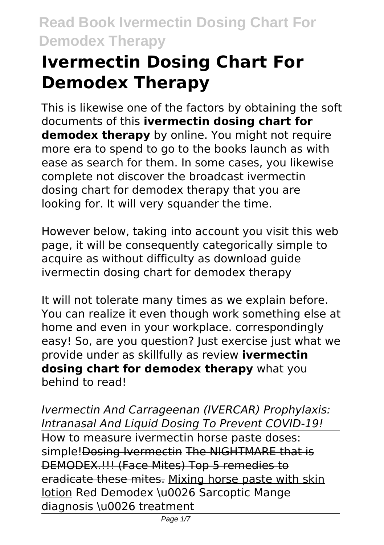# **Ivermectin Dosing Chart For Demodex Therapy**

This is likewise one of the factors by obtaining the soft documents of this **ivermectin dosing chart for demodex therapy** by online. You might not require more era to spend to go to the books launch as with ease as search for them. In some cases, you likewise complete not discover the broadcast ivermectin dosing chart for demodex therapy that you are looking for. It will very squander the time.

However below, taking into account you visit this web page, it will be consequently categorically simple to acquire as without difficulty as download guide ivermectin dosing chart for demodex therapy

It will not tolerate many times as we explain before. You can realize it even though work something else at home and even in your workplace. correspondingly easy! So, are you question? Just exercise just what we provide under as skillfully as review **ivermectin dosing chart for demodex therapy** what you behind to read!

*Ivermectin And Carrageenan (IVERCAR) Prophylaxis: Intranasal And Liquid Dosing To Prevent COVID-19!* How to measure ivermectin horse paste doses: simple! Dosing Ivermectin The NIGHTMARE that is DEMODEX.!!! (Face Mites) Top 5 remedies to eradicate these mites. Mixing horse paste with skin lotion Red Demodex \u0026 Sarcoptic Mange diagnosis \u0026 treatment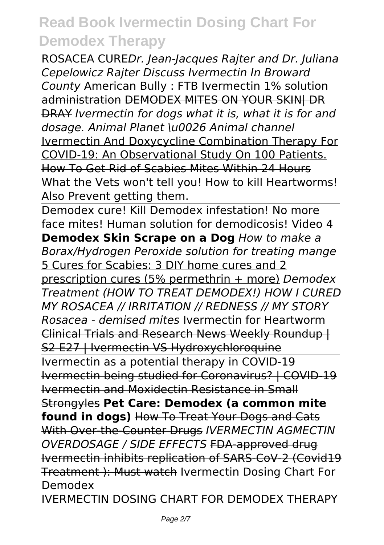ROSACEA CURE*Dr. Jean-Jacques Rajter and Dr. Juliana Cepelowicz Rajter Discuss Ivermectin In Broward County* American Bully : FTB Ivermectin 1% solution administration DEMODEX MITES ON YOUR SKIN| DR DRAY *Ivermectin for dogs what it is, what it is for and dosage. Animal Planet \u0026 Animal channel* Ivermectin And Doxycycline Combination Therapy For COVID-19: An Observational Study On 100 Patients. How To Get Rid of Scabies Mites Within 24 Hours What the Vets won't tell you! How to kill Heartworms! Also Prevent getting them.

Demodex cure! Kill Demodex infestation! No more face mites! Human solution for demodicosis! Video 4 **Demodex Skin Scrape on a Dog** *How to make a Borax/Hydrogen Peroxide solution for treating mange* 5 Cures for Scabies: 3 DIY home cures and 2 prescription cures (5% permethrin + more) *Demodex Treatment (HOW TO TREAT DEMODEX!) HOW I CURED MY ROSACEA // IRRITATION // REDNESS // MY STORY Rosacea - demised mites* Ivermectin for Heartworm Clinical Trials and Research News Weekly Roundup | S2 E27 | Ivermectin VS Hydroxychloroquine Ivermectin as a potential therapy in COVID-19 Ivermectin being studied for Coronavirus? | COVID-19 Ivermectin and Moxidectin Resistance in Small Strongyles **Pet Care: Demodex (a common mite found in dogs)** How To Treat Your Dogs and Cats With Over-the-Counter Drugs *IVERMECTIN AGMECTIN OVERDOSAGE / SIDE EFFECTS* FDA-approved drug Ivermectin inhibits replication of SARS-CoV-2 (Covid19 Treatment ): Must watch Ivermectin Dosing Chart For Demodex IVERMECTIN DOSING CHART FOR DEMODEX THERAPY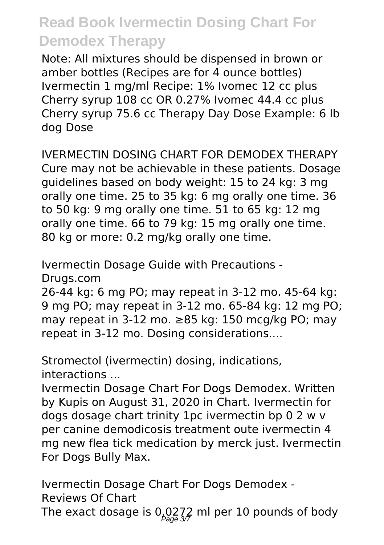Note: All mixtures should be dispensed in brown or amber bottles (Recipes are for 4 ounce bottles) Ivermectin 1 mg/ml Recipe: 1% Ivomec 12 cc plus Cherry syrup 108 cc OR 0.27% Ivomec 44.4 cc plus Cherry syrup 75.6 cc Therapy Day Dose Example: 6 lb dog Dose

IVERMECTIN DOSING CHART FOR DEMODEX THERAPY Cure may not be achievable in these patients. Dosage guidelines based on body weight: 15 to 24 kg: 3 mg orally one time. 25 to 35 kg: 6 mg orally one time. 36 to 50 kg: 9 mg orally one time. 51 to 65 kg: 12 mg orally one time. 66 to 79 kg: 15 mg orally one time. 80 kg or more: 0.2 mg/kg orally one time.

Ivermectin Dosage Guide with Precautions - Drugs.com

26-44 kg: 6 mg PO; may repeat in 3-12 mo. 45-64 kg: 9 mg PO; may repeat in 3-12 mo. 65-84 kg: 12 mg PO; may repeat in 3-12 mo. ≥85 kg: 150 mcg/kg PO; may repeat in 3-12 mo. Dosing considerations....

Stromectol (ivermectin) dosing, indications, interactions ...

Ivermectin Dosage Chart For Dogs Demodex. Written by Kupis on August 31, 2020 in Chart. Ivermectin for dogs dosage chart trinity 1pc ivermectin bp 0 2 w v per canine demodicosis treatment oute ivermectin 4 mg new flea tick medication by merck just. Ivermectin For Dogs Bully Max.

Ivermectin Dosage Chart For Dogs Demodex - Reviews Of Chart The exact dosage is 0,0272 ml per 10 pounds of body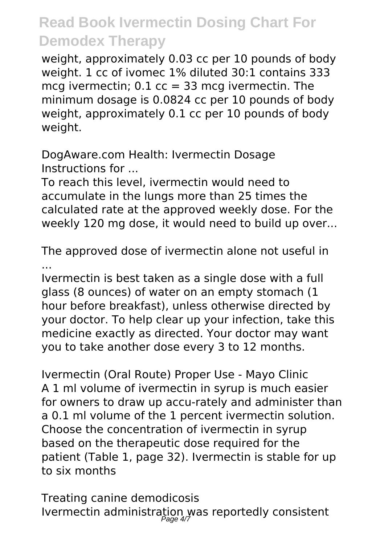weight, approximately 0.03 cc per 10 pounds of body weight. 1 cc of ivomec 1% diluted 30:1 contains 333 mcg ivermectin;  $0.1$  cc = 33 mcg ivermectin. The minimum dosage is 0.0824 cc per 10 pounds of body weight, approximately 0.1 cc per 10 pounds of body weight.

DogAware.com Health: Ivermectin Dosage Instructions for ...

To reach this level, ivermectin would need to accumulate in the lungs more than 25 times the calculated rate at the approved weekly dose. For the weekly 120 mg dose, it would need to build up over...

The approved dose of ivermectin alone not useful in ...

Ivermectin is best taken as a single dose with a full glass (8 ounces) of water on an empty stomach (1 hour before breakfast), unless otherwise directed by your doctor. To help clear up your infection, take this medicine exactly as directed. Your doctor may want you to take another dose every 3 to 12 months.

Ivermectin (Oral Route) Proper Use - Mayo Clinic A 1 ml volume of ivermectin in syrup is much easier for owners to draw up accu-rately and administer than a 0.1 ml volume of the 1 percent ivermectin solution. Choose the concentration of ivermectin in syrup based on the therapeutic dose required for the patient (Table 1, page 32). Ivermectin is stable for up to six months

Treating canine demodicosis Ivermectin administration was reportedly consistent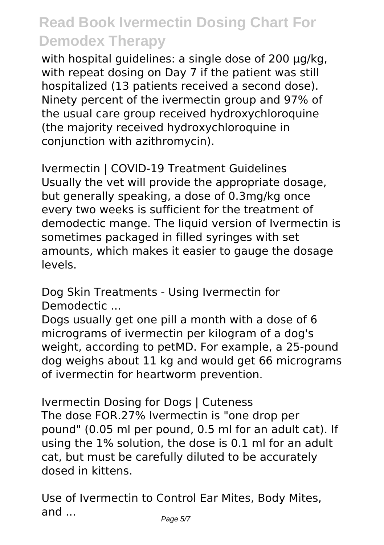with hospital quidelines: a single dose of 200 µg/kg, with repeat dosing on Day 7 if the patient was still hospitalized (13 patients received a second dose). Ninety percent of the ivermectin group and 97% of the usual care group received hydroxychloroquine (the majority received hydroxychloroquine in conjunction with azithromycin).

Ivermectin | COVID-19 Treatment Guidelines Usually the vet will provide the appropriate dosage, but generally speaking, a dose of 0.3mg/kg once every two weeks is sufficient for the treatment of demodectic mange. The liquid version of Ivermectin is sometimes packaged in filled syringes with set amounts, which makes it easier to gauge the dosage levels.

Dog Skin Treatments - Using Ivermectin for Demodectic ...

Dogs usually get one pill a month with a dose of 6 micrograms of ivermectin per kilogram of a dog's weight, according to petMD. For example, a 25-pound dog weighs about 11 kg and would get 66 micrograms of ivermectin for heartworm prevention.

Ivermectin Dosing for Dogs | Cuteness The dose FOR.27% Ivermectin is "one drop per pound" (0.05 ml per pound, 0.5 ml for an adult cat). If using the 1% solution, the dose is 0.1 ml for an adult cat, but must be carefully diluted to be accurately dosed in kittens.

Use of Ivermectin to Control Ear Mites, Body Mites, and ...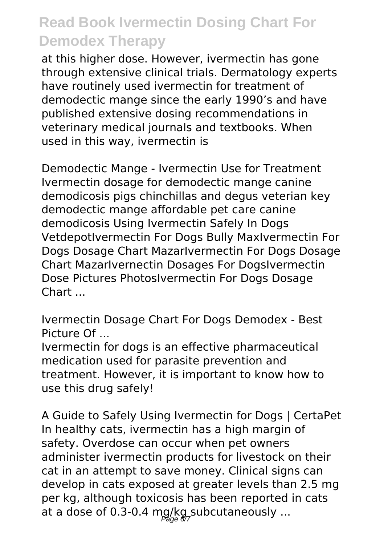at this higher dose. However, ivermectin has gone through extensive clinical trials. Dermatology experts have routinely used ivermectin for treatment of demodectic mange since the early 1990's and have published extensive dosing recommendations in veterinary medical journals and textbooks. When used in this way, ivermectin is

Demodectic Mange - Ivermectin Use for Treatment Ivermectin dosage for demodectic mange canine demodicosis pigs chinchillas and degus veterian key demodectic mange affordable pet care canine demodicosis Using Ivermectin Safely In Dogs VetdepotIvermectin For Dogs Bully MaxIvermectin For Dogs Dosage Chart MazarIvermectin For Dogs Dosage Chart MazarIvernectin Dosages For DogsIvermectin Dose Pictures PhotosIvermectin For Dogs Dosage Chart ...

Ivermectin Dosage Chart For Dogs Demodex - Best Picture Of

Ivermectin for dogs is an effective pharmaceutical medication used for parasite prevention and treatment. However, it is important to know how to use this drug safely!

A Guide to Safely Using Ivermectin for Dogs | CertaPet In healthy cats, ivermectin has a high margin of safety. Overdose can occur when pet owners administer ivermectin products for livestock on their cat in an attempt to save money. Clinical signs can develop in cats exposed at greater levels than 2.5 mg per kg, although toxicosis has been reported in cats at a dose of 0.3-0.4 mg/kg subcutaneously ...